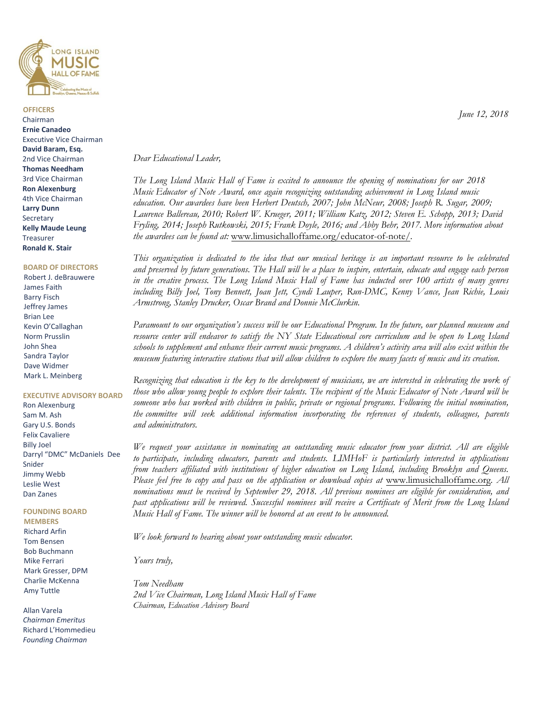

**OFFICERS**  Chairman **Ernie Canadeo**  Executive Vice Chairman **David Baram, Esq.**  2nd Vice Chairman **Thomas Needham**  3rd Vice Chairman **Ron Alexenburg** 4th Vice Chairman **Larry Dunn** Secretary **Kelly Maude Leung** Treasurer **Ronald K. Stair**

#### **BOARD OF DIRECTORS**

Robert J. deBrauwere James Faith Barry Fisch Jeffrey James Brian Lee Kevin O'Callaghan Norm Prusslin John Shea Sandra Taylor Dave Widmer Mark L. Meinberg

#### **EXECUTIVE ADVISORY BOARD**

Ron Alexenburg Sam M. Ash Gary U.S. Bonds Felix Cavaliere Billy Joel Darryl "DMC" McDaniels Dee Snider Jimmy Webb Leslie West Dan Zanes

#### **FOUNDING BOARD MEMBERS**

Richard Arfin Tom Bensen Bob Buchmann Mike Ferrari Mark Gresser, DPM Charlie McKenna Amy Tuttle

Allan Varela *Chairman Emeritus*  Richard L'Hommedieu *Founding Chairman*

*Dear Educational Leader,*

*The Long Island Music Hall of Fame is excited to announce the opening of nominations for our 2018 Music Educator of Note Award, once again recognizing outstanding achievement in Long Island music education. Our awardees have been Herbert Deutsch, 2007; John McNeur, 2008; Joseph R. Sugar, 2009; Laurence Ballereau, 2010; Robert W. Krueger, 2011; William Katz, 2012; Steven E. Schopp, 2013; David Fryling, 2014; Joseph Rutkowski, 2015; Frank Doyle, 2016; and Abby Behr, 2017. More information about the awardees can be found at:* www.limusichalloffame.org/educator-of-note/*.*

*This organization is dedicated to the idea that our musical heritage is an important resource to be celebrated and preserved by future generations. The Hall will be a place to inspire, entertain, educate and engage each person in the creative process. The Long Island Music Hall of Fame has inducted over 100 artists of many genres including Billy Joel, Tony Bennett, Joan Jett, Cyndi Lauper, Run-DMC, Kenny Vance, Jean Richie, Louis Armstrong, Stanley Drucker, Oscar Brand and Donnie McClurkin.* 

*Paramount to our organization's success will be our Educational Program. In the future, our planned museum and resource center will endeavor to satisfy the NY State Educational core curriculum and be open to Long Island schools to supplement and enhance their current music programs. A children's activity area will also exist within the museum featuring interactive stations that will allow children to explore the many facets of music and its creation.* 

*Recognizing that education is the key to the development of musicians, we are interested in celebrating the work of those who allow young people to explore their talents. The recipient of the Music Educator of Note Award will be*  someone who has worked with children in public, private or regional programs. Following the initial nomination, *the committee will seek additional information incorporating the references of students, colleagues, parents and administrators.* 

*We request your assistance in nominating an outstanding music educator from your district. All are eligible to participate, including educators, parents and students. LIMHoF is particularly interested in applications from teachers affiliated with institutions of higher education on Long Island, including Brooklyn and Queens. Please feel free to copy and pass on the application or download copies at* www.limusichalloffame.org. All *nominations must be received by September 29, 2018. All previous nominees are eligible for consideration, and past applications will be reviewed. Successful nominees will receive a Certificate of Merit from the Long Island Music Hall of Fame. The winner will be honored at an event to be announced.* 

*We look forward to hearing about your outstanding music educator.* 

*Yours truly,* 

*Tom Needham 2nd Vice Chairman, Long Island Music Hall of Fame Chairman, Education Advisory Board*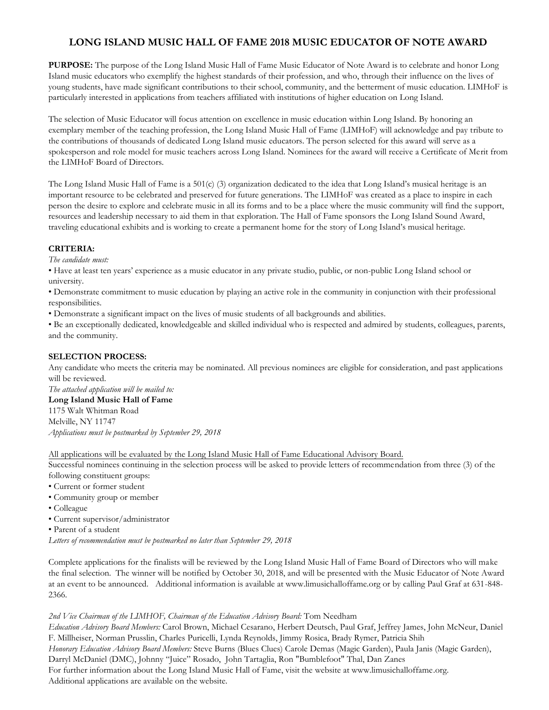## **LONG ISLAND MUSIC HALL OF FAME 2018 MUSIC EDUCATOR OF NOTE AWARD**

**PURPOSE:** The purpose of the Long Island Music Hall of Fame Music Educator of Note Award is to celebrate and honor Long Island music educators who exemplify the highest standards of their profession, and who, through their influence on the lives of young students, have made significant contributions to their school, community, and the betterment of music education. LIMHoF is particularly interested in applications from teachers affiliated with institutions of higher education on Long Island.

The selection of Music Educator will focus attention on excellence in music education within Long Island. By honoring an exemplary member of the teaching profession, the Long Island Music Hall of Fame (LIMHoF) will acknowledge and pay tribute to the contributions of thousands of dedicated Long Island music educators. The person selected for this award will serve as a spokesperson and role model for music teachers across Long Island. Nominees for the award will receive a Certificate of Merit from the LIMHoF Board of Directors.

The Long Island Music Hall of Fame is a 501(c) (3) organization dedicated to the idea that Long Island's musical heritage is an important resource to be celebrated and preserved for future generations. The LIMHoF was created as a place to inspire in each person the desire to explore and celebrate music in all its forms and to be a place where the music community will find the support, resources and leadership necessary to aid them in that exploration. The Hall of Fame sponsors the Long Island Sound Award, traveling educational exhibits and is working to create a permanent home for the story of Long Island's musical heritage.

### **CRITERIA:**

*The candidate must:*

• Have at least ten years' experience as a music educator in any private studio, public, or non-public Long Island school or university.

• Demonstrate commitment to music education by playing an active role in the community in conjunction with their professional responsibilities.

• Demonstrate a significant impact on the lives of music students of all backgrounds and abilities.

• Be an exceptionally dedicated, knowledgeable and skilled individual who is respected and admired by students, colleagues, parents, and the community.

## **SELECTION PROCESS:**

Any candidate who meets the criteria may be nominated. All previous nominees are eligible for consideration, and past applications will be reviewed.

*The attached application will be mailed to:*

**Long Island Music Hall of Fame** 1175 Walt Whitman Road Melville, NY 11747 *Applications must be postmarked by September 29, 2018*

All applications will be evaluated by the Long Island Music Hall of Fame Educational Advisory Board.

Successful nominees continuing in the selection process will be asked to provide letters of recommendation from three (3) of the following constituent groups:

• Current or former student

- Community group or member
- Colleague
- Current supervisor/administrator

• Parent of a student

*Letters of recommendation must be postmarked no later than September 29, 2018*

Complete applications for the finalists will be reviewed by the Long Island Music Hall of Fame Board of Directors who will make the final selection. The winner will be notified by October 30, 2018, and will be presented with the Music Educator of Note Award at an event to be announced. Additional information is available at www.limusichalloffame.org or by calling Paul Graf at 631-848- 2366.

### *2nd Vice Chairman of the LIMHOF, Chairman of the Education Advisory Board:* Tom Needham

*Education Advisory Board Members:* Carol Brown, Michael Cesarano, Herbert Deutsch, Paul Graf, Jeffrey James, John McNeur, Daniel F. Millheiser, Norman Prusslin, Charles Puricelli, Lynda Reynolds, Jimmy Rosica, Brady Rymer, Patricia Shih *Honorary Education Advisory Board Members:* Steve Burns (Blues Clues) Carole Demas (Magic Garden), Paula Janis (Magic Garden), Darryl McDaniel (DMC), Johnny "Juice" Rosado, John Tartaglia, Ron "Bumblefoot" Thal, Dan Zanes For further information about the Long Island Music Hall of Fame, visit the website at www.limusichalloffame.org. Additional applications are available on the website.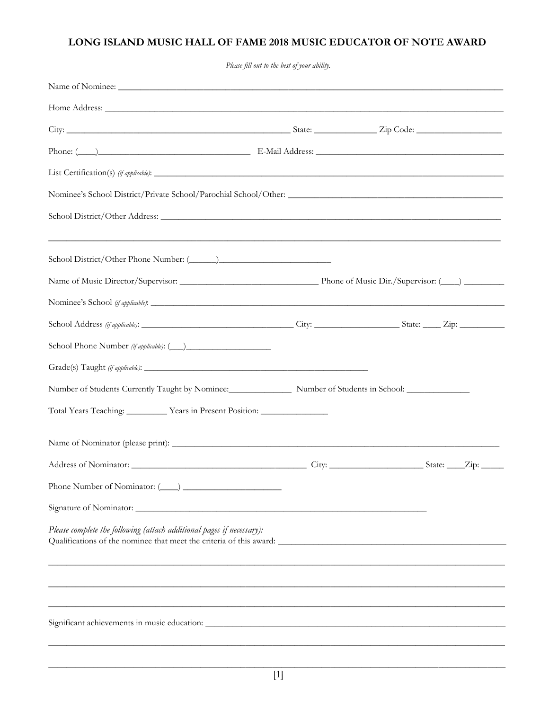# LONG ISLAND MUSIC HALL OF FAME 2018 MUSIC EDUCATOR OF NOTE AWARD

Please fill out to the best of your ability.

| School District/Other Address:                                                    |  |  |  |
|-----------------------------------------------------------------------------------|--|--|--|
| ,我们也不能在这里的人,我们也不能在这里的人,我们也不能在这里的人,我们也不能在这里的人,我们也不能在这里的人,我们也不能在这里的人,我们也不能在这里的人,我们也 |  |  |  |
|                                                                                   |  |  |  |
|                                                                                   |  |  |  |
| School Address (if applicable): City: City: School Address (if applicable):       |  |  |  |
|                                                                                   |  |  |  |
|                                                                                   |  |  |  |
|                                                                                   |  |  |  |
| Total Years Teaching: Vears in Present Position: Vears in Present Position:       |  |  |  |
|                                                                                   |  |  |  |
|                                                                                   |  |  |  |
|                                                                                   |  |  |  |
|                                                                                   |  |  |  |
| Please complete the following (attach additional pages if necessary):             |  |  |  |
|                                                                                   |  |  |  |
|                                                                                   |  |  |  |
|                                                                                   |  |  |  |
|                                                                                   |  |  |  |
|                                                                                   |  |  |  |